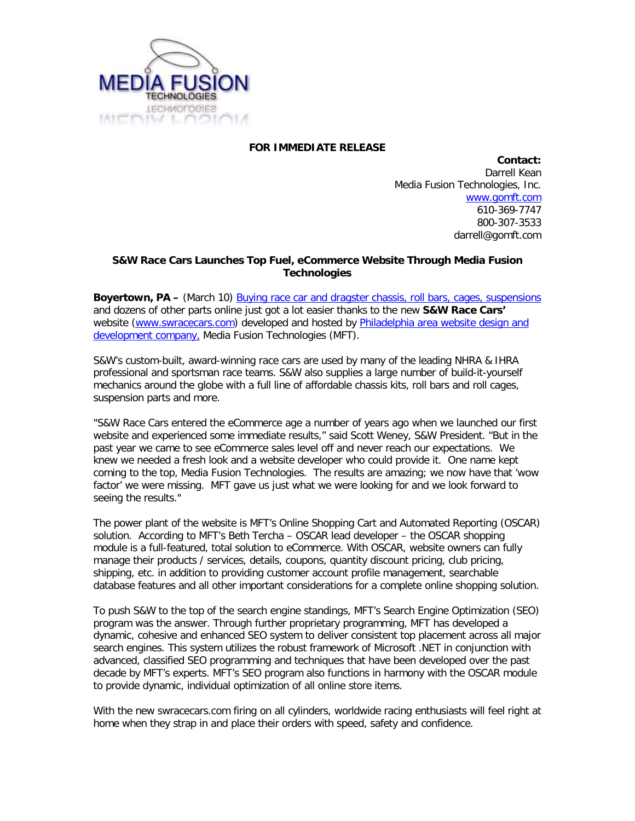

## **FOR IMMEDIATE RELEASE**

**Contact:** Darrell Kean Media Fusion Technologies, Inc. [www.gomft.com](http://www.gomft.com/) 610-369-7747 800-307-3533 darrell@gomft.com

## **S&W Race Cars Launches Top Fuel, eCommerce Website Through Media Fusion Technologies**

**Boyertown, PA –** (March 10) [Buying race car and dragster chassis, roll bars, cages, suspensions](http://www.swracecars.com/) and dozens of other parts online just got a lot easier thanks to the new **S&W Race Cars'** website [\(www.swracecars.com\)](http://www.swracecars.com/) developed and hosted by [Philadelphia area website design and](http://www.gomft.com/)  [development company,](http://www.gomft.com/) Media Fusion Technologies (MFT).

S&W's custom-built, award-winning race cars are used by many of the leading NHRA & IHRA professional and sportsman race teams. S&W also supplies a large number of build-it-yourself mechanics around the globe with a full line of affordable chassis kits, roll bars and roll cages, suspension parts and more.

"S&W Race Cars entered the eCommerce age a number of years ago when we launched our first website and experienced some immediate results," said Scott Weney, S&W President. "But in the past year we came to see eCommerce sales level off and never reach our expectations. We knew we needed a fresh look and a website developer who could provide it. One name kept coming to the top, Media Fusion Technologies. The results are amazing; we now have that 'wow factor' we were missing. MFT gave us just what we were looking for and we look forward to seeing the results."

The power plant of the website is MFT's Online Shopping Cart and Automated Reporting (OSCAR) solution. According to MFT's Beth Tercha – OSCAR lead developer – the OSCAR shopping module is a full-featured, total solution to eCommerce. With OSCAR, website owners can fully manage their products / services, details, coupons, quantity discount pricing, club pricing, shipping, etc. in addition to providing customer account profile management, searchable database features and all other important considerations for a complete online shopping solution.

To push S&W to the top of the search engine standings, MFT's Search Engine Optimization (SEO) program was the answer. Through further proprietary programming, MFT has developed a dynamic, cohesive and enhanced SEO system to deliver consistent top placement across all major search engines. This system utilizes the robust framework of Microsoft .NET in conjunction with advanced, classified SEO programming and techniques that have been developed over the past decade by MFT's experts. MFT's SEO program also functions in harmony with the OSCAR module to provide dynamic, individual optimization of all online store items.

With the new swracecars.com firing on all cylinders, worldwide racing enthusiasts will feel right at home when they strap in and place their orders with speed, safety and confidence.